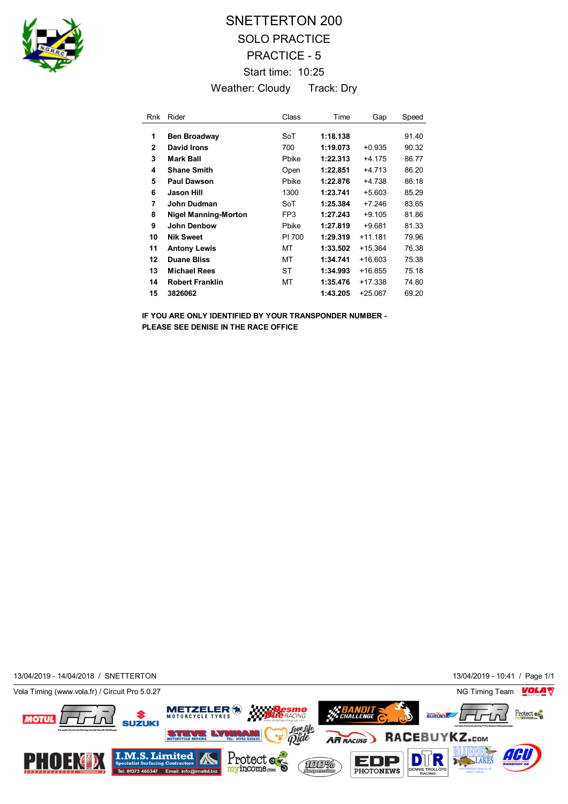

## SNETTERTON 200 SOLO PRACTICE PRACTICE - 5 Start time: 10:25 Weather: Cloudy Track: Dry

| Rnk          | Rider                       | Class           | Time     | Gap       | Speed |
|--------------|-----------------------------|-----------------|----------|-----------|-------|
| 1            | <b>Ben Broadway</b>         | SoT             | 1:18.138 |           | 91.40 |
| $\mathbf{2}$ | David Irons                 | 700             | 1:19.073 | $+0.935$  | 90.32 |
| 3            | <b>Mark Ball</b>            | Pbike           | 1:22.313 | +4.175    | 86.77 |
| 4            | <b>Shane Smith</b>          | Open            | 1:22.851 | $+4.713$  | 86.20 |
| 5            | <b>Paul Dawson</b>          | Pbike           | 1:22.876 | +4.738    | 86.18 |
| 6            | Jason Hill                  | 1300            | 1:23.741 | $+5.603$  | 85.29 |
| 7            | John Dudman                 | SoT             | 1:25.384 | $+7.246$  | 83.65 |
| 8            | <b>Nigel Manning-Morton</b> | FP <sub>3</sub> | 1:27.243 | $+9.105$  | 81.86 |
| 9            | <b>John Denbow</b>          | Pbike           | 1:27.819 | $+9.681$  | 81.33 |
| 10           | <b>Nik Sweet</b>            | PI 700          | 1:29.319 | $+11.181$ | 79.96 |
| 11           | <b>Antony Lewis</b>         | МT              | 1:33.502 | $+15.364$ | 76.38 |
| 12           | <b>Duane Bliss</b>          | МT              | 1:34.741 | $+16.603$ | 75.38 |
| 13           | <b>Michael Rees</b>         | ST              | 1:34.993 | $+16.855$ | 75.18 |
| 14           | <b>Robert Franklin</b>      | МT              | 1:35.476 | +17.338   | 74.80 |
| 15           | 3826062                     |                 | 1:43.205 | $+25.067$ | 69.20 |

**IF YOU ARE ONLY IDENTIFIED BY YOUR TRANSPONDER NUMBER - PLEASE SEE DENISE IN THE RACE OFFICE**